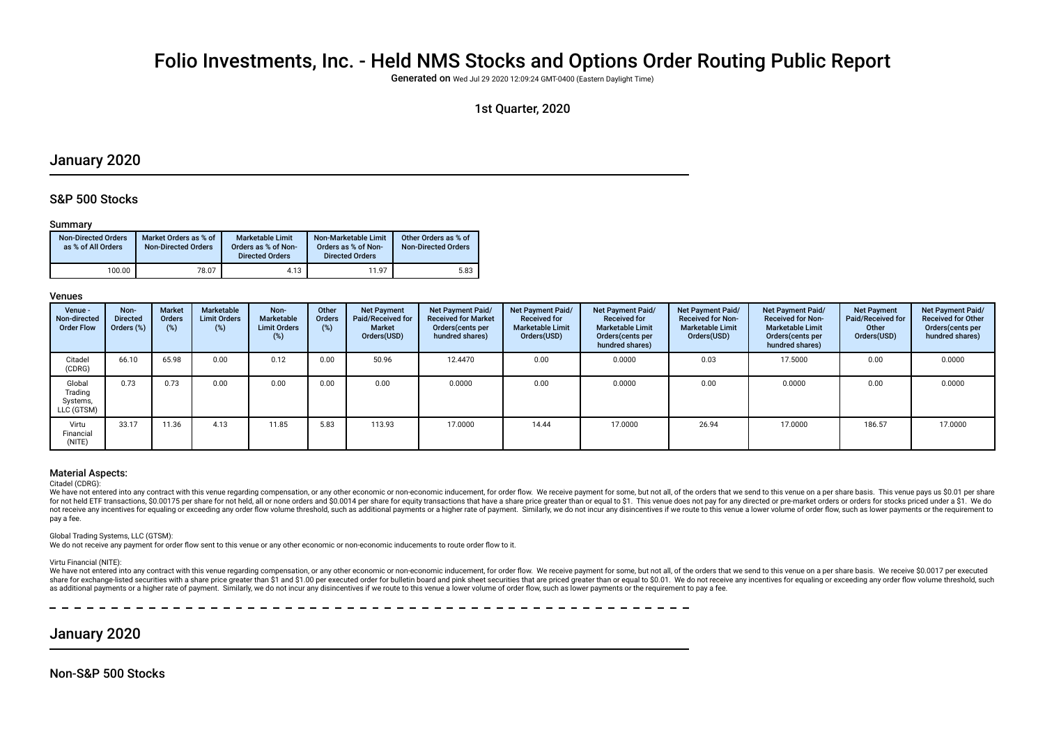# Folio Investments, Inc. - Held NMS Stocks and Options Order Routing Public Report

Generated on Wed Jul 29 2020 12:09:24 GMT-0400 (Eastern Daylight Time)

### 1st Quarter, 2020

### January 2020

### S&P 500 Stocks

#### Summary

| <b>Non-Directed Orders</b><br>as % of All Orders | Market Orders as % of<br><b>Non-Directed Orders</b> | Marketable Limit<br>Orders as % of Non-<br><b>Directed Orders</b> | Non-Marketable Limit<br>Orders as % of Non-<br><b>Directed Orders</b> | Other Orders as % of<br><b>Non-Directed Orders</b> |
|--------------------------------------------------|-----------------------------------------------------|-------------------------------------------------------------------|-----------------------------------------------------------------------|----------------------------------------------------|
| 100.00                                           | 78.07                                               | 4.13                                                              | 11.97                                                                 | 5.83                                               |

#### Venues

| Venue -<br>Non-directed<br><b>Order Flow</b> | Non-<br><b>Directed</b><br>Orders (%) | <b>Market</b><br><b>Orders</b><br>(%) | Marketable<br><b>Limit Orders</b><br>(%) | Non-<br>Marketable<br><b>Limit Orders</b><br>$(\%)$ | Other<br><b>Orders</b><br>(%) | <b>Net Payment</b><br>Paid/Received for<br>Market<br>Orders(USD) | <b>Net Payment Paid/</b><br><b>Received for Market</b><br>Orders(cents per<br>hundred shares) | <b>Net Payment Paid/</b><br><b>Received for</b><br><b>Marketable Limit</b><br>Orders(USD) | Net Payment Paid/<br><b>Received for</b><br><b>Marketable Limit</b><br>Orders (cents per<br>hundred shares) | Net Payment Paid/<br><b>Received for Non-</b><br><b>Marketable Limit</b><br>Orders(USD) | Net Payment Paid/<br><b>Received for Non-</b><br><b>Marketable Limit</b><br>Orders (cents per<br>hundred shares) | <b>Net Payment</b><br>Paid/Received for<br>Other<br>Orders(USD) | Net Payment Paid/<br><b>Received for Other</b><br>Orders(cents per<br>hundred shares) |
|----------------------------------------------|---------------------------------------|---------------------------------------|------------------------------------------|-----------------------------------------------------|-------------------------------|------------------------------------------------------------------|-----------------------------------------------------------------------------------------------|-------------------------------------------------------------------------------------------|-------------------------------------------------------------------------------------------------------------|-----------------------------------------------------------------------------------------|------------------------------------------------------------------------------------------------------------------|-----------------------------------------------------------------|---------------------------------------------------------------------------------------|
| Citadel<br>(CDRG)                            | 66.10                                 | 65.98                                 | 0.00                                     | 0.12                                                | 0.00                          | 50.96                                                            | 12.4470                                                                                       | 0.00                                                                                      | 0.0000                                                                                                      | 0.03                                                                                    | 17.5000                                                                                                          | 0.00                                                            | 0.0000                                                                                |
| Global<br>Trading<br>Systems,<br>LLC (GTSM)  | 0.73                                  | 0.73                                  | 0.00                                     | 0.00                                                | 0.00                          | 0.00                                                             | 0.0000                                                                                        | 0.00                                                                                      | 0.0000                                                                                                      | 0.00                                                                                    | 0.0000                                                                                                           | 0.00                                                            | 0.0000                                                                                |
| Virtu<br>Financial<br>(NITE)                 | 33.17                                 | 11.36                                 | 4.13                                     | 11.85                                               | 5.83                          | 113.93                                                           | 17.0000                                                                                       | 14.44                                                                                     | 17.0000                                                                                                     | 26.94                                                                                   | 17.0000                                                                                                          | 186.57                                                          | 17.0000                                                                               |

#### Material Aspects:

#### Citadel (CDRG):

We have not entered into any contract with this venue regarding compensation, or any other economic or non-economic inducement, for order flow. We receive payment for some, but not all, of the orders that we send to this v for not held ETF transactions, \$0.00175 per share for not held, all or none orders and \$0.0014 per share for equity transactions that have a share price greater than or equal to \$1. This venue does not pay for any directed not receive any incentives for equaling or exceeding any order flow volume threshold, such as additional payments or a higher rate of payment. Similarly, we do not incur any disincentives if we route to this venue a lower pay a fee.

Global Trading Systems, LLC (GTSM):

We do not receive any payment for order fow sent to this venue or any other economic or non-economic inducements to route order fow to it.

#### Virtu Financial (NITE):

We have not entered into any contract with this venue regarding compensation, or any other economic or non-economic inducement, for order flow. We receive payment for some, but not all, of the orders that we send to this v share for exchange-listed securities with a share price greater than \$1 and \$1.00 per executed order for bulletin board and pink sheet securities that are priced greater than or equal to \$0.01. We do not receive any incent as additional payments or a higher rate of payment. Similarly, we do not incur any disincentives if we route to this venue a lower volume of order flow, such as lower payments or the requirement to pay a fee.

# January 2020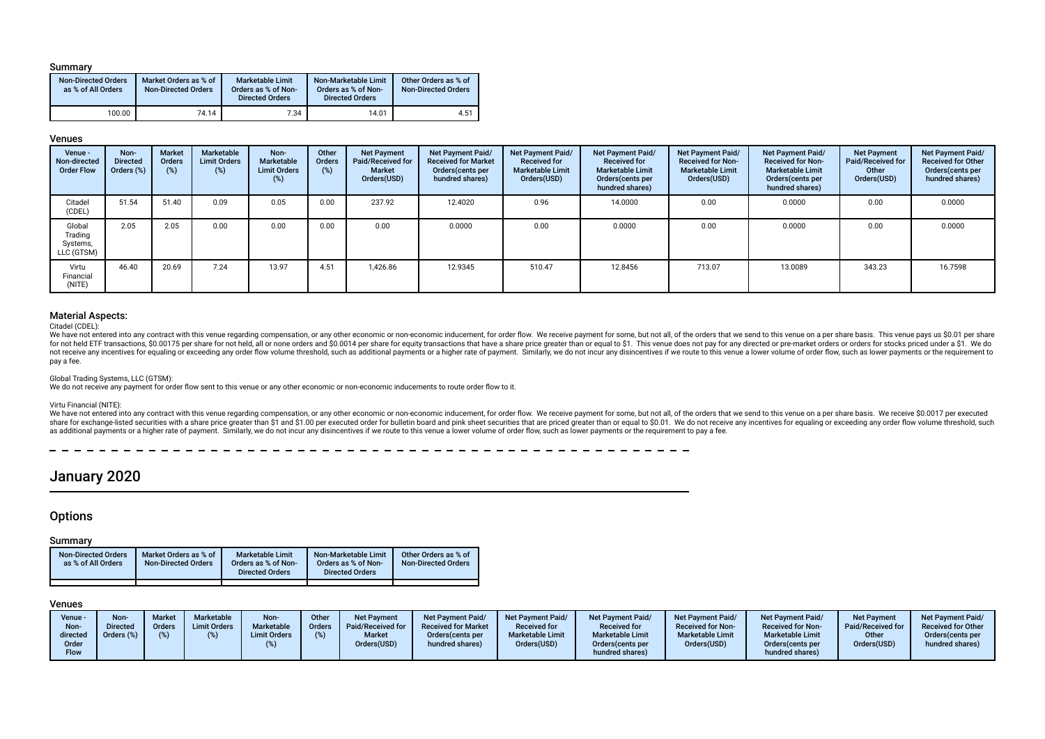#### Summary

| <b>Non-Directed Orders</b><br>as % of All Orders | Market Orders as % of<br><b>Non-Directed Orders</b> | <b>Marketable Limit</b><br>Orders as % of Non-<br><b>Directed Orders</b> | Non-Marketable Limit<br>Orders as % of Non-<br><b>Directed Orders</b> | Other Orders as % of<br><b>Non-Directed Orders</b> |
|--------------------------------------------------|-----------------------------------------------------|--------------------------------------------------------------------------|-----------------------------------------------------------------------|----------------------------------------------------|
| 100.00                                           | 74.14                                               | 7.34                                                                     | 14.01                                                                 | 4.51                                               |

#### Venues

| Venue -<br>Non-directed<br><b>Order Flow</b> | Non-<br><b>Directed</b><br>Orders (%) | <b>Market</b><br><b>Orders</b><br>(%) | Marketable<br><b>Limit Orders</b><br>$(\%)$ | Non-<br><b>Marketable</b><br><b>Limit Orders</b><br>(%) | Other<br><b>Orders</b><br>$(\%)$ | <b>Net Payment</b><br>Paid/Received for<br>Market<br>Orders(USD) | Net Payment Paid/<br><b>Received for Market</b><br>Orders (cents per<br>hundred shares) | Net Payment Paid/<br><b>Received for</b><br><b>Marketable Limit</b><br>Orders(USD) | Net Payment Paid/<br><b>Received for</b><br><b>Marketable Limit</b><br>Orders (cents per<br>hundred shares) | Net Payment Paid/<br><b>Received for Non-</b><br><b>Marketable Limit</b><br>Orders(USD) | Net Payment Paid/<br><b>Received for Non-</b><br><b>Marketable Limit</b><br>Orders (cents per<br>hundred shares) | <b>Net Payment</b><br>Paid/Received for<br>Other<br>Orders(USD) | Net Payment Paid/<br><b>Received for Other</b><br>Orders(cents per<br>hundred shares) |
|----------------------------------------------|---------------------------------------|---------------------------------------|---------------------------------------------|---------------------------------------------------------|----------------------------------|------------------------------------------------------------------|-----------------------------------------------------------------------------------------|------------------------------------------------------------------------------------|-------------------------------------------------------------------------------------------------------------|-----------------------------------------------------------------------------------------|------------------------------------------------------------------------------------------------------------------|-----------------------------------------------------------------|---------------------------------------------------------------------------------------|
| Citadel<br>(CDEL)                            | 51.54                                 | 51.40                                 | 0.09                                        | 0.05                                                    | 0.00                             | 237.92                                                           | 12.4020                                                                                 | 0.96                                                                               | 14.0000                                                                                                     | 0.00                                                                                    | 0.0000                                                                                                           | 0.00                                                            | 0.0000                                                                                |
| Global<br>Trading<br>Systems,<br>LLC (GTSM)  | 2.05                                  | 2.05                                  | 0.00                                        | 0.00                                                    | 0.00                             | 0.00                                                             | 0.0000                                                                                  | 0.00                                                                               | 0.0000                                                                                                      | 0.00                                                                                    | 0.0000                                                                                                           | 0.00                                                            | 0.0000                                                                                |
| Virtu<br>Financial<br>(NITE)                 | 46.40                                 | 20.69                                 | 7.24                                        | 13.97                                                   | 4.51                             | 1,426.86                                                         | 12.9345                                                                                 | 510.47                                                                             | 12.8456                                                                                                     | 713.07                                                                                  | 13.0089                                                                                                          | 343.23                                                          | 16.7598                                                                               |

#### Material Aspects:

Citadel (CDEL):

We have not entered into any contract with this venue regarding compensation, or any other economic or non-economic inducement, for order flow. We receive payment for some, but not all, of the orders that we send to this v for not held ETF transactions, \$0.00175 per share for not held, all or none orders and \$0.0014 per share for equity transactions that have a share price greater than or equal to \$1. This venue does not pay for any directed not receive any incentives for equaling or exceeding any order flow volume threshold, such as additional payments or a higher rate of payment. Similarly, we do not incur any disincentives if we route to this venue a lower pay a fee.

Global Trading Systems, LLC (GTSM):

We do not receive any payment for order fow sent to this venue or any other economic or non-economic inducements to route order fow to it.

#### Virtu Financial (NITE):

We have not entered into any contract with this venue regarding compensation, or any other economic or non-economic inducement, for order flow. We receive payment for some, but not all, of the orders that we send to this v share for exchange-listed securities with a share price greater than \$1 and \$1.00 per executed order for bulletin board and pink sheet securities that are priced greater than or equal to \$0.01. We do not receive any incent as additional payments or a higher rate of payment. Similarly, we do not incur any disincentives if we route to this venue a lower volume of order flow, such as lower payments or the requirement to pay a fee.

# January 2020

### **Options**

#### Summary

#### Venues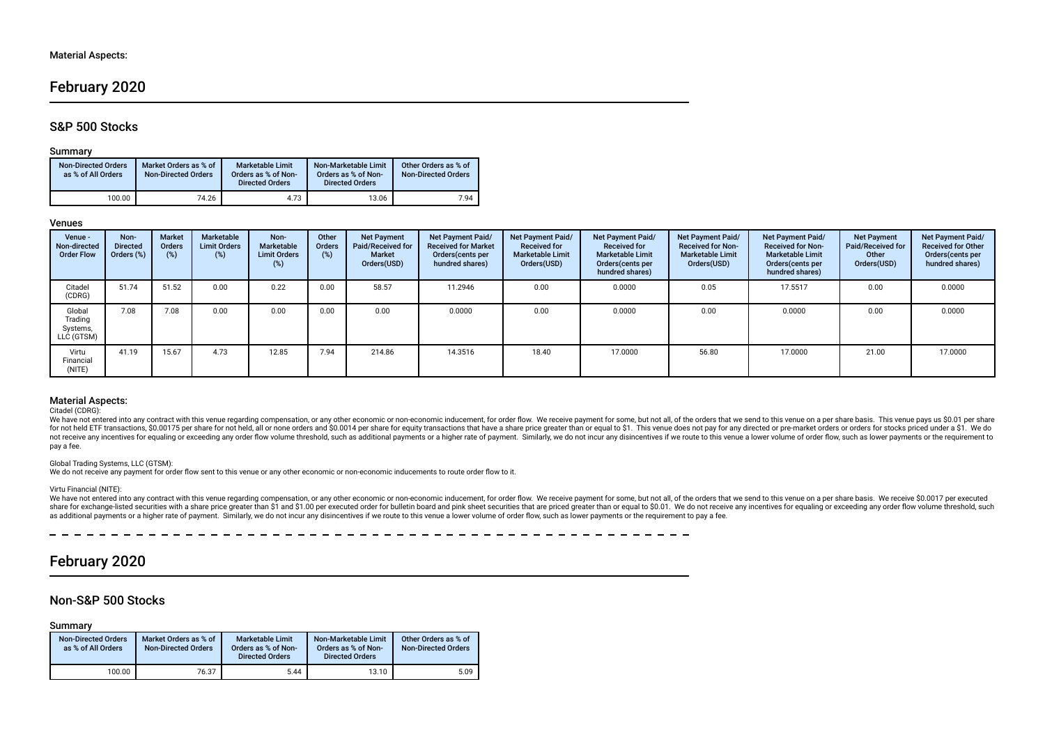# February 2020

### S&P 500 Stocks

#### Summary

| <b>Non-Directed Orders</b><br>as % of All Orders | Market Orders as % of<br><b>Non-Directed Orders</b> | <b>Marketable Limit</b><br>Orders as % of Non-<br><b>Directed Orders</b> | Non-Marketable Limit<br>Orders as % of Non-<br><b>Directed Orders</b> | Other Orders as % of<br><b>Non-Directed Orders</b> |
|--------------------------------------------------|-----------------------------------------------------|--------------------------------------------------------------------------|-----------------------------------------------------------------------|----------------------------------------------------|
| 100.00                                           | 74.26                                               | 4.73                                                                     | 13.06                                                                 | 7.94                                               |

#### Venues

| Venue -<br>Non-directed<br><b>Order Flow</b> | Non-<br><b>Directed</b><br>Orders (%) | <b>Market</b><br>Orders<br>(%) | Marketable<br><b>Limit Orders</b><br>$(\%)$ | Non-<br>Marketable<br><b>Limit Orders</b><br>$(\%)$ | Other<br>Orders<br>(%) | <b>Net Payment</b><br>Paid/Received for<br>Market<br>Orders(USD) | Net Payment Paid/<br><b>Received for Market</b><br>Orders(cents per<br>hundred shares) | <b>Net Payment Paid/</b><br><b>Received for</b><br><b>Marketable Limit</b><br>Orders(USD) | <b>Net Payment Paid/</b><br><b>Received for</b><br><b>Marketable Limit</b><br>Orders (cents per<br>hundred shares) | Net Payment Paid/<br><b>Received for Non-</b><br><b>Marketable Limit</b><br>Orders(USD) | Net Payment Paid/<br><b>Received for Non-</b><br><b>Marketable Limit</b><br>Orders (cents per<br>hundred shares) | <b>Net Payment</b><br>Paid/Received for<br>Other<br>Orders(USD) | Net Payment Paid/<br><b>Received for Other</b><br>Orders(cents per<br>hundred shares) |
|----------------------------------------------|---------------------------------------|--------------------------------|---------------------------------------------|-----------------------------------------------------|------------------------|------------------------------------------------------------------|----------------------------------------------------------------------------------------|-------------------------------------------------------------------------------------------|--------------------------------------------------------------------------------------------------------------------|-----------------------------------------------------------------------------------------|------------------------------------------------------------------------------------------------------------------|-----------------------------------------------------------------|---------------------------------------------------------------------------------------|
| Citadel<br>(CDRG)                            | 51.74                                 | 51.52                          | 0.00                                        | 0.22                                                | 0.00                   | 58.57                                                            | 11.2946                                                                                | 0.00                                                                                      | 0.0000                                                                                                             | 0.05                                                                                    | 17.5517                                                                                                          | 0.00                                                            | 0.0000                                                                                |
| Global<br>Trading<br>Systems,<br>LLC (GTSM)  | 7.08                                  | 7.08                           | 0.00                                        | 0.00                                                | 0.00                   | 0.00                                                             | 0.0000                                                                                 | 0.00                                                                                      | 0.0000                                                                                                             | 0.00                                                                                    | 0.0000                                                                                                           | 0.00                                                            | 0.0000                                                                                |
| Virtu<br>Financial<br>(NITE)                 | 41.19                                 | 15.67                          | 4.73                                        | 12.85                                               | 7.94                   | 214.86                                                           | 14.3516                                                                                | 18.40                                                                                     | 17.0000                                                                                                            | 56.80                                                                                   | 17.0000                                                                                                          | 21.00                                                           | 17.0000                                                                               |

### Material Aspects:

#### Citadel (CDRG):

We have not entered into any contract with this venue regarding compensation, or any other economic or non-economic inducement, for order flow. We receive payment for some, but not all, of the orders that we send to this v not receive any incentives for equaling or exceeding any order flow volume threshold, such as additional payments or a higher rate of payment. Similarly, we do not incur any disincentives if we route to this venue a lower pay a fee.

#### Global Trading Systems, LLC (GTSM):

We do not receive any payment for order fow sent to this venue or any other economic or non-economic inducements to route order fow to it.

#### Virtu Financial (NITE):

We have not entered into any contract with this venue regarding compensation, or any other economic or non-economic inducement, for order flow. We receive payment for some, but not all, of the orders that we send to this v share for exchange-listed securities with a share price greater than \$1 and \$1.00 per executed order for bulletin board and pink sheet securities that are priced greater than or equal to \$0.01. We do not receive any incent as additional payments or a higher rate of payment. Similarly, we do not incur any disincentives if we route to this venue a lower volume of order flow, such as lower payments or the requirement to pay a fee.

# February 2020

### Non-S&P 500 Stocks

#### Summary

| <b>Non-Directed Orders</b><br>as % of All Orders | Market Orders as % of<br><b>Non-Directed Orders</b> | <b>Marketable Limit</b><br>Orders as % of Non-<br><b>Directed Orders</b> | Non-Marketable Limit<br>Orders as % of Non-<br><b>Directed Orders</b> | Other Orders as % of<br><b>Non-Directed Orders</b> |
|--------------------------------------------------|-----------------------------------------------------|--------------------------------------------------------------------------|-----------------------------------------------------------------------|----------------------------------------------------|
| 100.00                                           | 76.37                                               | 5.44                                                                     | 13.10                                                                 | 5.09                                               |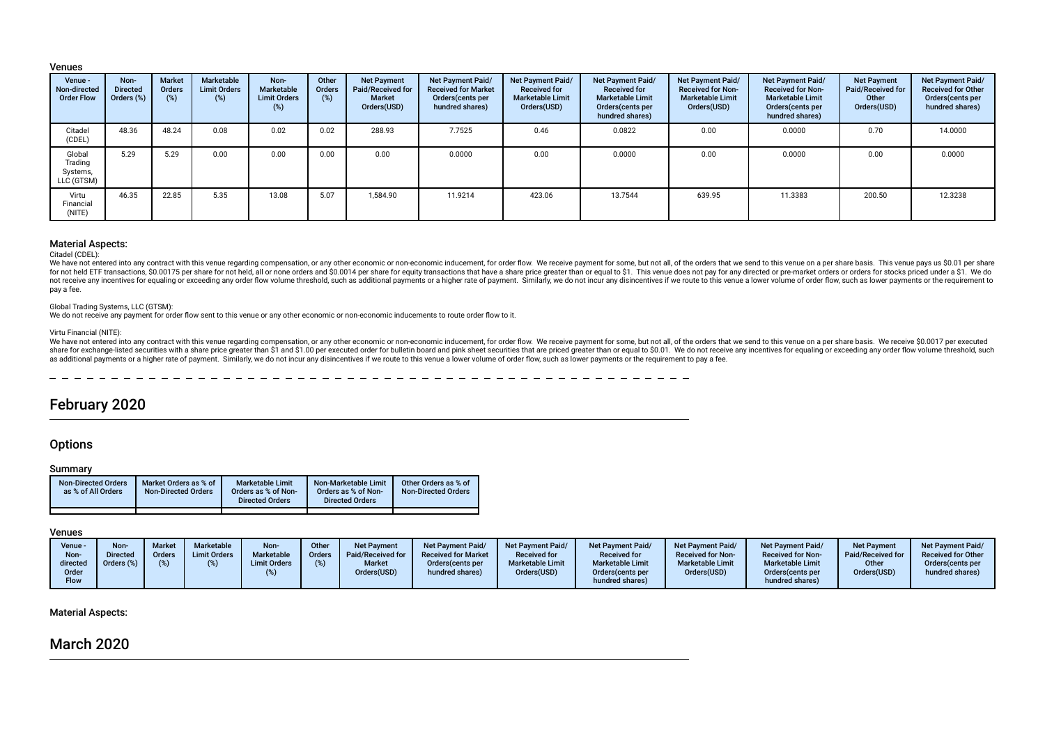#### Venues

| Venue -<br>Non-directed<br><b>Order Flow</b> | Non-<br><b>Directed</b><br>Orders (%) | <b>Market</b><br><b>Orders</b><br>$(\%)$ | Marketable<br><b>Limit Orders</b><br>$(\%)$ | Non-<br>Marketable<br><b>Limit Orders</b><br>(%) | Other<br>Orders<br>(%) | <b>Net Payment</b><br>Paid/Received for<br>Market<br>Orders(USD) | Net Payment Paid/<br><b>Received for Market</b><br>Orders(cents per<br>hundred shares) | <b>Net Payment Paid/</b><br><b>Received for</b><br><b>Marketable Limit</b><br>Orders(USD) | <b>Net Payment Paid/</b><br><b>Received for</b><br><b>Marketable Limit</b><br>Orders (cents per<br>hundred shares) | Net Payment Paid/<br><b>Received for Non-</b><br><b>Marketable Limit</b><br>Orders(USD) | Net Payment Paid/<br><b>Received for Non-</b><br><b>Marketable Limit</b><br>Orders (cents per<br>hundred shares) | <b>Net Payment</b><br>Paid/Received for<br>Other<br>Orders(USD) | Net Payment Paid/<br><b>Received for Other</b><br>Orders(cents per<br>hundred shares) |
|----------------------------------------------|---------------------------------------|------------------------------------------|---------------------------------------------|--------------------------------------------------|------------------------|------------------------------------------------------------------|----------------------------------------------------------------------------------------|-------------------------------------------------------------------------------------------|--------------------------------------------------------------------------------------------------------------------|-----------------------------------------------------------------------------------------|------------------------------------------------------------------------------------------------------------------|-----------------------------------------------------------------|---------------------------------------------------------------------------------------|
| Citadel<br>(CDEL)                            | 48.36                                 | 48.24                                    | 0.08                                        | 0.02                                             | 0.02                   | 288.93                                                           | 7.7525                                                                                 | 0.46                                                                                      | 0.0822                                                                                                             | 0.00                                                                                    | 0.0000                                                                                                           | 0.70                                                            | 14.0000                                                                               |
| Global<br>Trading<br>Systems,<br>LLC (GTSM)  | 5.29                                  | 5.29                                     | 0.00                                        | 0.00                                             | 0.00                   | 0.00                                                             | 0.0000                                                                                 | 0.00                                                                                      | 0.0000                                                                                                             | 0.00                                                                                    | 0.0000                                                                                                           | 0.00                                                            | 0.0000                                                                                |
| Virtu<br>Financial<br>(NITE)                 | 46.35                                 | 22.85                                    | 5.35                                        | 13.08                                            | 5.07                   | 1.584.90                                                         | 11.9214                                                                                | 423.06                                                                                    | 13.7544                                                                                                            | 639.95                                                                                  | 11.3383                                                                                                          | 200.50                                                          | 12.3238                                                                               |

#### Material Aspects:

Citadel (CDEL):

We have not entered into any contract with this venue regarding compensation, or any other economic or non-economic inducement, for order flow. We receive payment for some, but not all, of the orders that we send to this v for not held ETF transactions, \$0.00175 per share for not held, all or none orders and \$0.0014 per share for equity transactions that have a share price greater than or equal to \$1. This venue does not pay for any directed not receive any incentives for equaling or exceeding any order flow volume threshold, such as additional payments or a higher rate of payment. Similarly, we do not incur any disincentives if we route to this venue a lower pay a fee.

#### Global Trading Systems, LLC (GTSM):

We do not receive any payment for order flow sent to this venue or any other economic or non-economic inducements to route order flow to it.

#### Virtu Financial (NITE):

We have not entered into any contract with this venue regarding compensation, or any other economic or non-economic inducement, for order flow. We receive payment for some, but not all, of the orders that we send to this v share for exchange-listed securities with a share price greater than \$1 and \$1.00 per executed order for bulletin board and pink sheet securities that are priced greater than or equal to \$0.01. We do not receive any incent as additional payments or a higher rate of payment. Similarly, we do not incur any disincentives if we route to this venue a lower volume of order flow, such as lower payments or the requirement to pay a fee.

. . . . . . . . .

# February 2020

#### **Options**

#### Summary

| <b>Non-Directed Orders</b><br>as % of All Orders | Market Orders as % of<br><b>Non-Directed Orders</b> | <b>Marketable Limit</b><br>Orders as % of Non-<br><b>Directed Orders</b> | Non-Marketable Limit<br>Orders as % of Non-<br><b>Directed Orders</b> | Other Orders as % of<br><b>Non-Directed Orders</b> |
|--------------------------------------------------|-----------------------------------------------------|--------------------------------------------------------------------------|-----------------------------------------------------------------------|----------------------------------------------------|
|                                                  |                                                     |                                                                          |                                                                       |                                                    |

### Venues

| Marketable<br><b>Received for</b><br><b>Limit Orders</b><br><b>Received for Market</b><br><b>Paid/Received for</b><br><b>Orders</b><br><b>Received for</b><br><b>Directed</b><br>Non-<br><b>Orders</b><br><b>Marketable Limit</b><br><b>Marketable Limit</b><br>Orders $(\%)$<br><b>Market</b><br><b>Limit Orders</b><br>Orders (cents per<br>directed<br>Orders(USD)<br>Orders(USD)<br>Orders (cents per<br>hundred shares)<br>Order<br>hundred shares)<br><b>Flow</b> | Paid/Received for<br><b>Received for Other</b><br><b>Received for Non-</b><br><b>Received for Non-</b><br><b>Marketable Limit</b><br><b>Marketable Limit</b><br>Orders(cents per<br>Other<br>Orders(USD)<br>Orders(USD)<br>Orders(cents per<br>hundred shares)<br>hundred shares) |
|-------------------------------------------------------------------------------------------------------------------------------------------------------------------------------------------------------------------------------------------------------------------------------------------------------------------------------------------------------------------------------------------------------------------------------------------------------------------------|-----------------------------------------------------------------------------------------------------------------------------------------------------------------------------------------------------------------------------------------------------------------------------------|
|-------------------------------------------------------------------------------------------------------------------------------------------------------------------------------------------------------------------------------------------------------------------------------------------------------------------------------------------------------------------------------------------------------------------------------------------------------------------------|-----------------------------------------------------------------------------------------------------------------------------------------------------------------------------------------------------------------------------------------------------------------------------------|

### Material Aspects:

# March 2020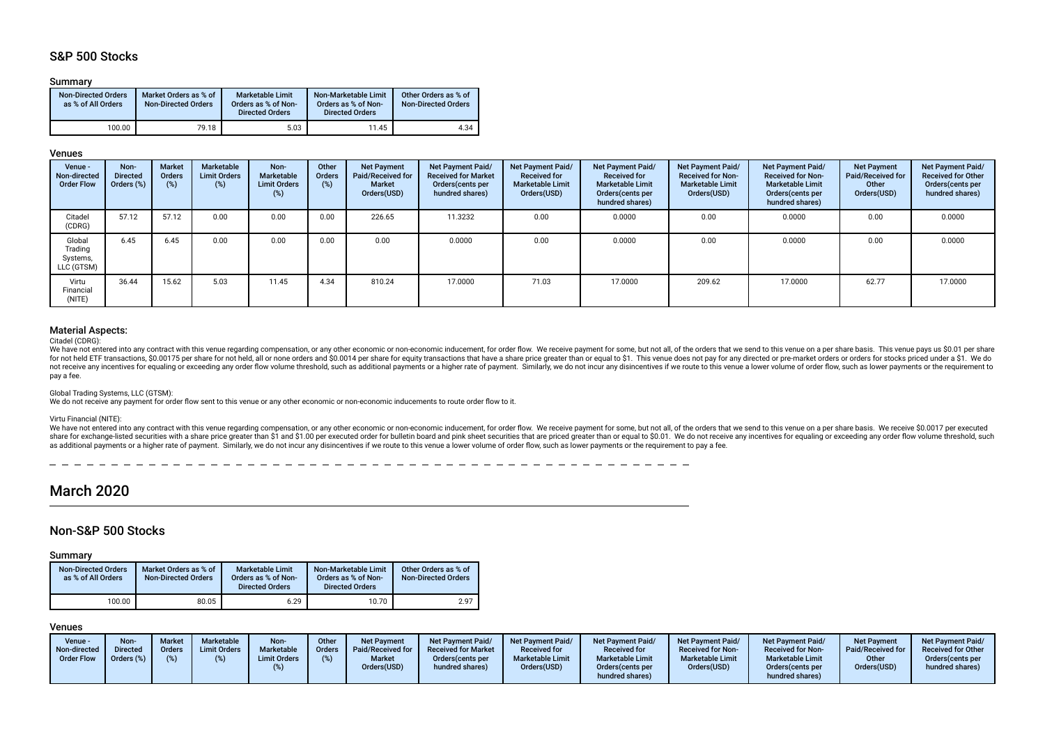## S&P 500 Stocks

#### Summary

| <b>Non-Directed Orders</b><br>as % of All Orders | Market Orders as % of<br>Non-Directed Orders | <b>Marketable Limit</b><br>Orders as % of Non-<br><b>Directed Orders</b> | Non-Marketable Limit<br>Orders as % of Non-<br><b>Directed Orders</b> | Other Orders as % of<br><b>Non-Directed Orders</b> |
|--------------------------------------------------|----------------------------------------------|--------------------------------------------------------------------------|-----------------------------------------------------------------------|----------------------------------------------------|
| 100.00                                           | 79.18                                        | 5.03                                                                     | 11.45                                                                 | 4.34                                               |

#### Venues

| Venue -<br>Non-directed<br><b>Order Flow</b> | Non-<br><b>Directed</b><br>Orders (%) | <b>Market</b><br>Orders<br>(%) | Marketable<br><b>Limit Orders</b><br>$(\%)$ | Non-<br>Marketable<br><b>Limit Orders</b><br>(%) | Other<br><b>Orders</b><br>(%) | <b>Net Payment</b><br>Paid/Received for<br><b>Market</b><br>Orders(USD) | Net Payment Paid/<br><b>Received for Market</b><br>Orders (cents per<br>hundred shares) | Net Payment Paid/<br><b>Received for</b><br><b>Marketable Limit</b><br>Orders(USD) | Net Payment Paid/<br><b>Received for</b><br><b>Marketable Limit</b><br>Orders (cents per<br>hundred shares) | Net Payment Paid/<br><b>Received for Non-</b><br><b>Marketable Limit</b><br>Orders(USD) | Net Payment Paid/<br><b>Received for Non-</b><br><b>Marketable Limit</b><br>Orders (cents per<br>hundred shares) | <b>Net Payment</b><br>Paid/Received for<br>Other<br>Orders(USD) | Net Payment Paid/<br><b>Received for Other</b><br>Orders(cents per<br>hundred shares) |
|----------------------------------------------|---------------------------------------|--------------------------------|---------------------------------------------|--------------------------------------------------|-------------------------------|-------------------------------------------------------------------------|-----------------------------------------------------------------------------------------|------------------------------------------------------------------------------------|-------------------------------------------------------------------------------------------------------------|-----------------------------------------------------------------------------------------|------------------------------------------------------------------------------------------------------------------|-----------------------------------------------------------------|---------------------------------------------------------------------------------------|
| Citadel<br>(CDRG)                            | 57.12                                 | 57.12                          | 0.00                                        | 0.00                                             | 0.00                          | 226.65                                                                  | 11.3232                                                                                 | 0.00                                                                               | 0.0000                                                                                                      | 0.00                                                                                    | 0.0000                                                                                                           | 0.00                                                            | 0.0000                                                                                |
| Global<br>Trading<br>Systems,<br>LLC (GTSM)  | 6.45                                  | 6.45                           | 0.00                                        | 0.00                                             | 0.00                          | 0.00                                                                    | 0.0000                                                                                  | 0.00                                                                               | 0.0000                                                                                                      | 0.00                                                                                    | 0.0000                                                                                                           | 0.00                                                            | 0.0000                                                                                |
| Virtu<br>Financial<br>(NITE)                 | 36.44                                 | 15.62                          | 5.03                                        | 11.45                                            | 4.34                          | 810.24                                                                  | 17.0000                                                                                 | 71.03                                                                              | 17.0000                                                                                                     | 209.62                                                                                  | 17.0000                                                                                                          | 62.77                                                           | 17.0000                                                                               |

#### Material Aspects:

#### Citadel (CDRG):

We have not entered into any contract with this venue regarding compensation, or any other economic or non-economic inducement, for order flow. We receive payment for some, but not all, of the orders that we send to this v for not held ETF transactions, \$0.00175 per share for not held, all or none orders and \$0.0014 per share for equity transactions that have a share price greater than or equal to \$1. This venue does not pay for any directed not receive any incentives for equaling or exceeding any order flow volume threshold, such as additional payments or a higher rate of payment. Similarly, we do not incur any disincentives if we route to this venue a lower pay a fee.

#### Global Trading Systems, LLC (GTSM):

We do not receive any payment for order flow sent to this venue or any other economic or non-economic inducements to route order flow to it.

#### Virtu Financial (NITE):

We have not entered into any contract with this venue regarding compensation, or any other economic or non-economic inducement, for order flow. We receive payment for some, but not all, of the orders that we send to this v share for exchange-listed securities with a share price greater than \$1,00 per executed order for bulletin board and bink sheet securities that are priced greater than or equal to \$0,01. We do not receive any incentives fo as additional payments or a higher rate of payment. Similarly, we do not incur any disincentives if we route to this venue a lower volume of order flow, such as lower payments or the requirement to pay a fee.

# March 2020

### Non-S&P 500 Stocks

#### Summary

| <b>Non-Directed Orders</b><br>as % of All Orders | Market Orders as % of<br><b>Non-Directed Orders</b> |      | Non-Marketable Limit<br>Orders as % of Non-<br><b>Directed Orders</b> | Other Orders as % of<br><b>Non-Directed Orders</b> |
|--------------------------------------------------|-----------------------------------------------------|------|-----------------------------------------------------------------------|----------------------------------------------------|
| 100.00                                           | 80.05                                               | 6.29 | 10.70                                                                 | 2.97                                               |

### Venues

| Venue -<br>Non-directed<br><b>Order Flow</b> | <b>Market</b><br>Non-<br><b>Directed</b><br>Orders<br>Orders (%) | Marketable<br><b>Limit Orders</b><br>(%) | Non-<br>Marketable<br><b>Limit Orders</b> | Other<br>Orders<br>$(\%)$ | <b>Net Payment</b><br>Paid/Received for<br><b>Market</b><br>Orders(USD) | Net Payment Paid/<br><b>Received for Market</b><br>Orders (cents per<br>hundred shares) | <b>Net Payment Paid/</b><br><b>Received for</b><br><b>Marketable Limit</b><br>Orders(USD) | <b>Net Payment Paid/</b><br><b>Received for</b><br><b>Marketable Limit</b><br>Orders(cents per<br>hundred shares) | Net Payment Paid/<br><b>Received for Non-</b><br><b>Marketable Limit</b><br>Orders(USD) | <b>Net Payment Paid/</b><br><b>Received for Non-</b><br><b>Marketable Limit</b><br>Orders(cents per<br>hundred shares) | <b>Net Payment</b><br>Paid/Received for<br>Other<br>Orders(USD) | <b>Net Payment Paid/</b><br><b>Received for Other</b><br>Orders(cents per<br>hundred shares) |
|----------------------------------------------|------------------------------------------------------------------|------------------------------------------|-------------------------------------------|---------------------------|-------------------------------------------------------------------------|-----------------------------------------------------------------------------------------|-------------------------------------------------------------------------------------------|-------------------------------------------------------------------------------------------------------------------|-----------------------------------------------------------------------------------------|------------------------------------------------------------------------------------------------------------------------|-----------------------------------------------------------------|----------------------------------------------------------------------------------------------|
|----------------------------------------------|------------------------------------------------------------------|------------------------------------------|-------------------------------------------|---------------------------|-------------------------------------------------------------------------|-----------------------------------------------------------------------------------------|-------------------------------------------------------------------------------------------|-------------------------------------------------------------------------------------------------------------------|-----------------------------------------------------------------------------------------|------------------------------------------------------------------------------------------------------------------------|-----------------------------------------------------------------|----------------------------------------------------------------------------------------------|